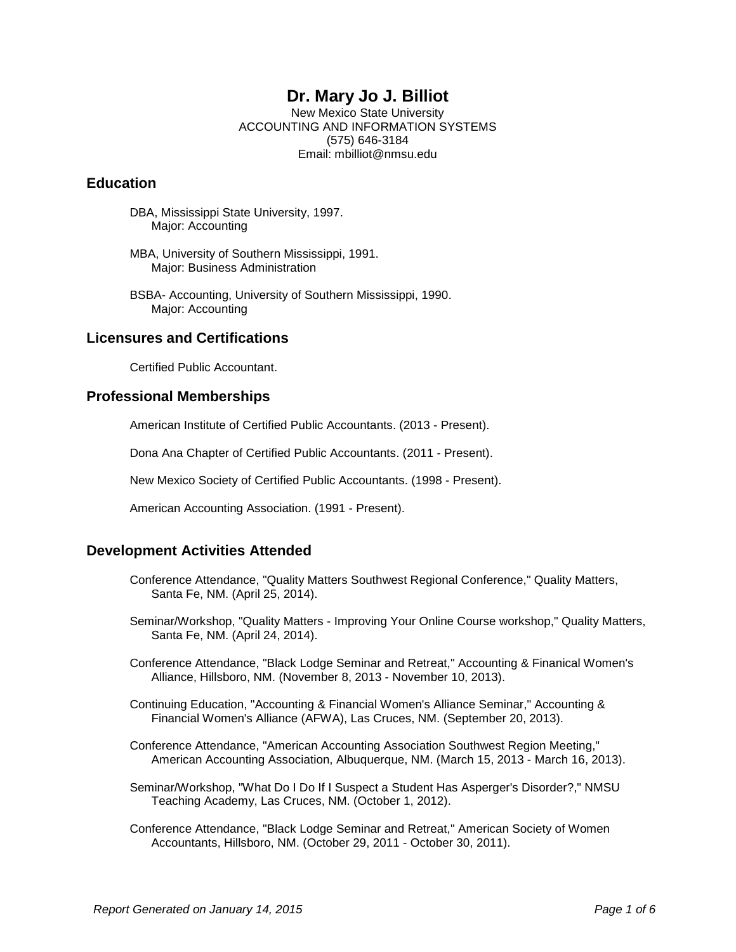# **Dr. Mary Jo J. Billiot**

New Mexico State University ACCOUNTING AND INFORMATION SYSTEMS (575) 646-3184 Email: mbilliot@nmsu.edu

### **Education**

DBA, Mississippi State University, 1997. Major: Accounting

MBA, University of Southern Mississippi, 1991. Major: Business Administration

BSBA- Accounting, University of Southern Mississippi, 1990. Major: Accounting

### **Licensures and Certifications**

Certified Public Accountant.

### **Professional Memberships**

American Institute of Certified Public Accountants. (2013 - Present).

Dona Ana Chapter of Certified Public Accountants. (2011 - Present).

New Mexico Society of Certified Public Accountants. (1998 - Present).

American Accounting Association. (1991 - Present).

#### **Development Activities Attended**

- Conference Attendance, "Quality Matters Southwest Regional Conference," Quality Matters, Santa Fe, NM. (April 25, 2014).
- Seminar/Workshop, "Quality Matters Improving Your Online Course workshop," Quality Matters, Santa Fe, NM. (April 24, 2014).
- Conference Attendance, "Black Lodge Seminar and Retreat," Accounting & Finanical Women's Alliance, Hillsboro, NM. (November 8, 2013 - November 10, 2013).
- Continuing Education, "Accounting & Financial Women's Alliance Seminar," Accounting & Financial Women's Alliance (AFWA), Las Cruces, NM. (September 20, 2013).
- Conference Attendance, "American Accounting Association Southwest Region Meeting," American Accounting Association, Albuquerque, NM. (March 15, 2013 - March 16, 2013).
- Seminar/Workshop, "What Do I Do If I Suspect a Student Has Asperger's Disorder?," NMSU Teaching Academy, Las Cruces, NM. (October 1, 2012).
- Conference Attendance, "Black Lodge Seminar and Retreat," American Society of Women Accountants, Hillsboro, NM. (October 29, 2011 - October 30, 2011).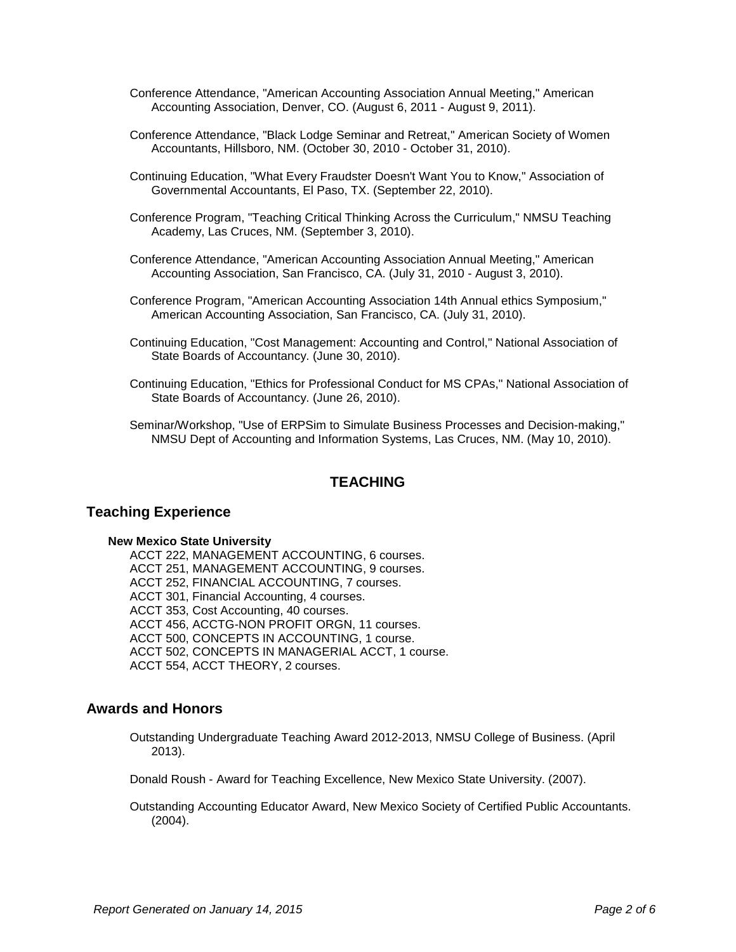- Conference Attendance, "American Accounting Association Annual Meeting," American Accounting Association, Denver, CO. (August 6, 2011 - August 9, 2011).
- Conference Attendance, "Black Lodge Seminar and Retreat," American Society of Women Accountants, Hillsboro, NM. (October 30, 2010 - October 31, 2010).
- Continuing Education, "What Every Fraudster Doesn't Want You to Know," Association of Governmental Accountants, El Paso, TX. (September 22, 2010).
- Conference Program, "Teaching Critical Thinking Across the Curriculum," NMSU Teaching Academy, Las Cruces, NM. (September 3, 2010).
- Conference Attendance, "American Accounting Association Annual Meeting," American Accounting Association, San Francisco, CA. (July 31, 2010 - August 3, 2010).
- Conference Program, "American Accounting Association 14th Annual ethics Symposium," American Accounting Association, San Francisco, CA. (July 31, 2010).
- Continuing Education, "Cost Management: Accounting and Control," National Association of State Boards of Accountancy. (June 30, 2010).
- Continuing Education, "Ethics for Professional Conduct for MS CPAs," National Association of State Boards of Accountancy. (June 26, 2010).
- Seminar/Workshop, "Use of ERPSim to Simulate Business Processes and Decision-making," NMSU Dept of Accounting and Information Systems, Las Cruces, NM. (May 10, 2010).

# **TEACHING**

#### **Teaching Experience**

#### **New Mexico State University**

ACCT 222, MANAGEMENT ACCOUNTING, 6 courses. ACCT 251, MANAGEMENT ACCOUNTING, 9 courses. ACCT 252, FINANCIAL ACCOUNTING, 7 courses. ACCT 301, Financial Accounting, 4 courses. ACCT 353, Cost Accounting, 40 courses. ACCT 456, ACCTG-NON PROFIT ORGN, 11 courses. ACCT 500, CONCEPTS IN ACCOUNTING, 1 course. ACCT 502, CONCEPTS IN MANAGERIAL ACCT, 1 course. ACCT 554, ACCT THEORY, 2 courses.

### **Awards and Honors**

Outstanding Undergraduate Teaching Award 2012-2013, NMSU College of Business. (April 2013).

Donald Roush - Award for Teaching Excellence, New Mexico State University. (2007).

Outstanding Accounting Educator Award, New Mexico Society of Certified Public Accountants. (2004).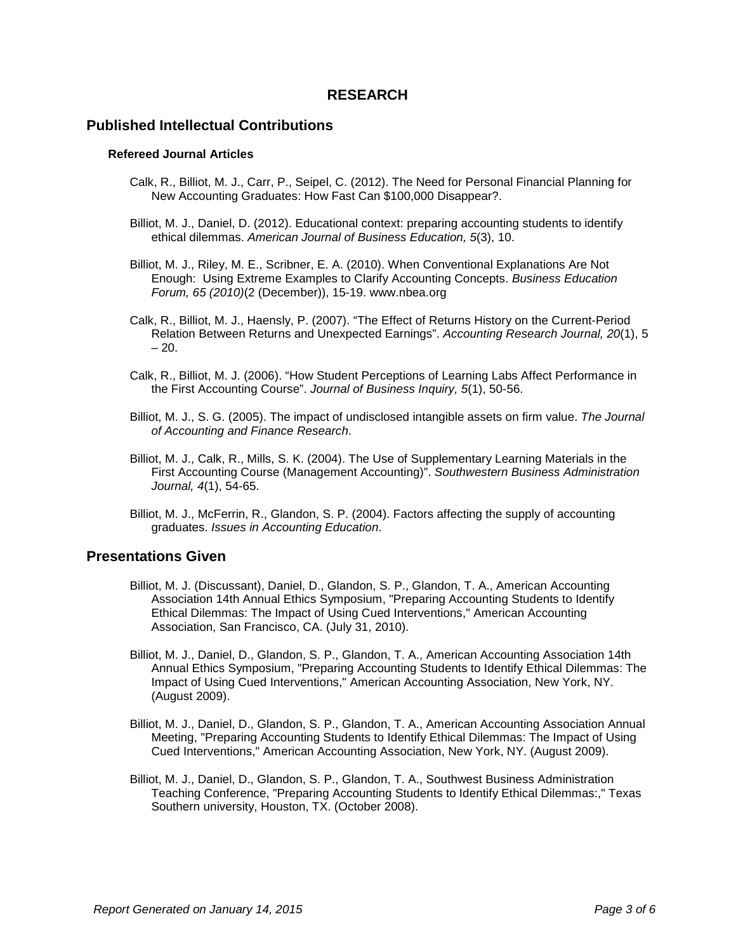# **RESEARCH**

#### **Published Intellectual Contributions**

#### **Refereed Journal Articles**

- Calk, R., Billiot, M. J., Carr, P., Seipel, C. (2012). The Need for Personal Financial Planning for New Accounting Graduates: How Fast Can \$100,000 Disappear?.
- Billiot, M. J., Daniel, D. (2012). Educational context: preparing accounting students to identify ethical dilemmas. *American Journal of Business Education, 5*(3), 10.
- Billiot, M. J., Riley, M. E., Scribner, E. A. (2010). When Conventional Explanations Are Not Enough: Using Extreme Examples to Clarify Accounting Concepts. *Business Education Forum, 65 (2010)*(2 (December)), 15-19. www.nbea.org
- Calk, R., Billiot, M. J., Haensly, P. (2007). "The Effect of Returns History on the Current-Period Relation Between Returns and Unexpected Earnings". *Accounting Research Journal, 20*(1), 5  $-20.$
- Calk, R., Billiot, M. J. (2006). "How Student Perceptions of Learning Labs Affect Performance in the First Accounting Course". *Journal of Business Inquiry, 5*(1), 50-56.
- Billiot, M. J., S. G. (2005). The impact of undisclosed intangible assets on firm value. *The Journal of Accounting and Finance Research*.
- Billiot, M. J., Calk, R., Mills, S. K. (2004). The Use of Supplementary Learning Materials in the First Accounting Course (Management Accounting)". *Southwestern Business Administration Journal, 4*(1), 54-65.
- Billiot, M. J., McFerrin, R., Glandon, S. P. (2004). Factors affecting the supply of accounting graduates. *Issues in Accounting Education*.

### **Presentations Given**

- Billiot, M. J. (Discussant), Daniel, D., Glandon, S. P., Glandon, T. A., American Accounting Association 14th Annual Ethics Symposium, "Preparing Accounting Students to Identify Ethical Dilemmas: The Impact of Using Cued Interventions," American Accounting Association, San Francisco, CA. (July 31, 2010).
- Billiot, M. J., Daniel, D., Glandon, S. P., Glandon, T. A., American Accounting Association 14th Annual Ethics Symposium, "Preparing Accounting Students to Identify Ethical Dilemmas: The Impact of Using Cued Interventions," American Accounting Association, New York, NY. (August 2009).
- Billiot, M. J., Daniel, D., Glandon, S. P., Glandon, T. A., American Accounting Association Annual Meeting, "Preparing Accounting Students to Identify Ethical Dilemmas: The Impact of Using Cued Interventions," American Accounting Association, New York, NY. (August 2009).
- Billiot, M. J., Daniel, D., Glandon, S. P., Glandon, T. A., Southwest Business Administration Teaching Conference, "Preparing Accounting Students to Identify Ethical Dilemmas:," Texas Southern university, Houston, TX. (October 2008).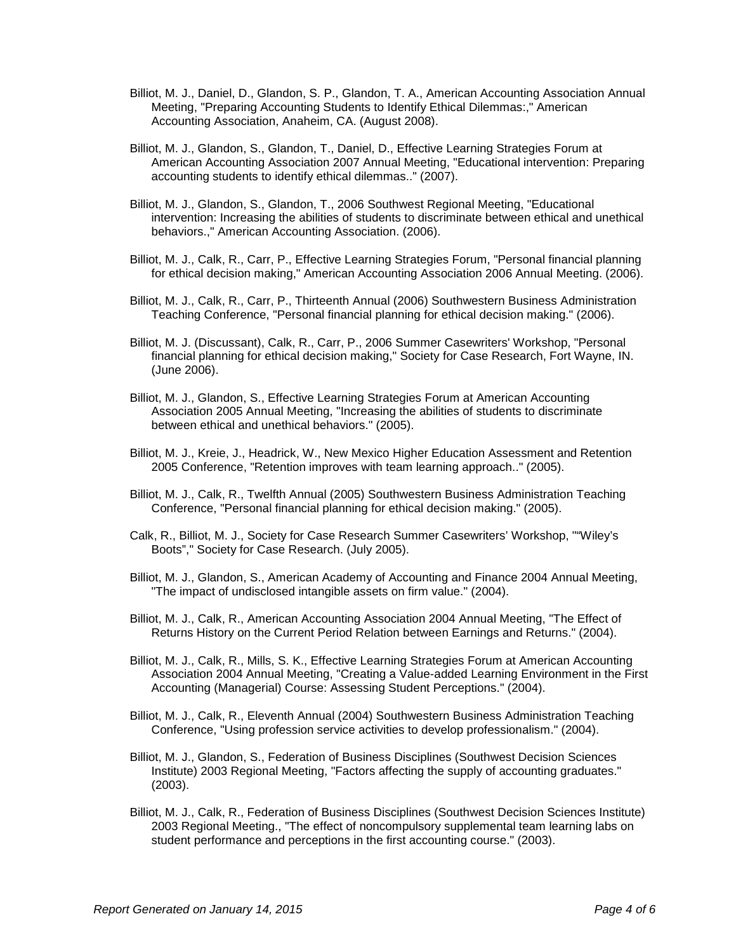- Billiot, M. J., Daniel, D., Glandon, S. P., Glandon, T. A., American Accounting Association Annual Meeting, "Preparing Accounting Students to Identify Ethical Dilemmas:," American Accounting Association, Anaheim, CA. (August 2008).
- Billiot, M. J., Glandon, S., Glandon, T., Daniel, D., Effective Learning Strategies Forum at American Accounting Association 2007 Annual Meeting, "Educational intervention: Preparing accounting students to identify ethical dilemmas.." (2007).
- Billiot, M. J., Glandon, S., Glandon, T., 2006 Southwest Regional Meeting, "Educational intervention: Increasing the abilities of students to discriminate between ethical and unethical behaviors.," American Accounting Association. (2006).
- Billiot, M. J., Calk, R., Carr, P., Effective Learning Strategies Forum, "Personal financial planning for ethical decision making," American Accounting Association 2006 Annual Meeting. (2006).
- Billiot, M. J., Calk, R., Carr, P., Thirteenth Annual (2006) Southwestern Business Administration Teaching Conference, "Personal financial planning for ethical decision making." (2006).
- Billiot, M. J. (Discussant), Calk, R., Carr, P., 2006 Summer Casewriters' Workshop, "Personal financial planning for ethical decision making," Society for Case Research, Fort Wayne, IN. (June 2006).
- Billiot, M. J., Glandon, S., Effective Learning Strategies Forum at American Accounting Association 2005 Annual Meeting, "Increasing the abilities of students to discriminate between ethical and unethical behaviors." (2005).
- Billiot, M. J., Kreie, J., Headrick, W., New Mexico Higher Education Assessment and Retention 2005 Conference, "Retention improves with team learning approach.." (2005).
- Billiot, M. J., Calk, R., Twelfth Annual (2005) Southwestern Business Administration Teaching Conference, "Personal financial planning for ethical decision making." (2005).
- Calk, R., Billiot, M. J., Society for Case Research Summer Casewriters' Workshop, ""Wiley's Boots"," Society for Case Research. (July 2005).
- Billiot, M. J., Glandon, S., American Academy of Accounting and Finance 2004 Annual Meeting, "The impact of undisclosed intangible assets on firm value." (2004).
- Billiot, M. J., Calk, R., American Accounting Association 2004 Annual Meeting, "The Effect of Returns History on the Current Period Relation between Earnings and Returns." (2004).
- Billiot, M. J., Calk, R., Mills, S. K., Effective Learning Strategies Forum at American Accounting Association 2004 Annual Meeting, "Creating a Value-added Learning Environment in the First Accounting (Managerial) Course: Assessing Student Perceptions." (2004).
- Billiot, M. J., Calk, R., Eleventh Annual (2004) Southwestern Business Administration Teaching Conference, "Using profession service activities to develop professionalism." (2004).
- Billiot, M. J., Glandon, S., Federation of Business Disciplines (Southwest Decision Sciences Institute) 2003 Regional Meeting, "Factors affecting the supply of accounting graduates." (2003).
- Billiot, M. J., Calk, R., Federation of Business Disciplines (Southwest Decision Sciences Institute) 2003 Regional Meeting., "The effect of noncompulsory supplemental team learning labs on student performance and perceptions in the first accounting course." (2003).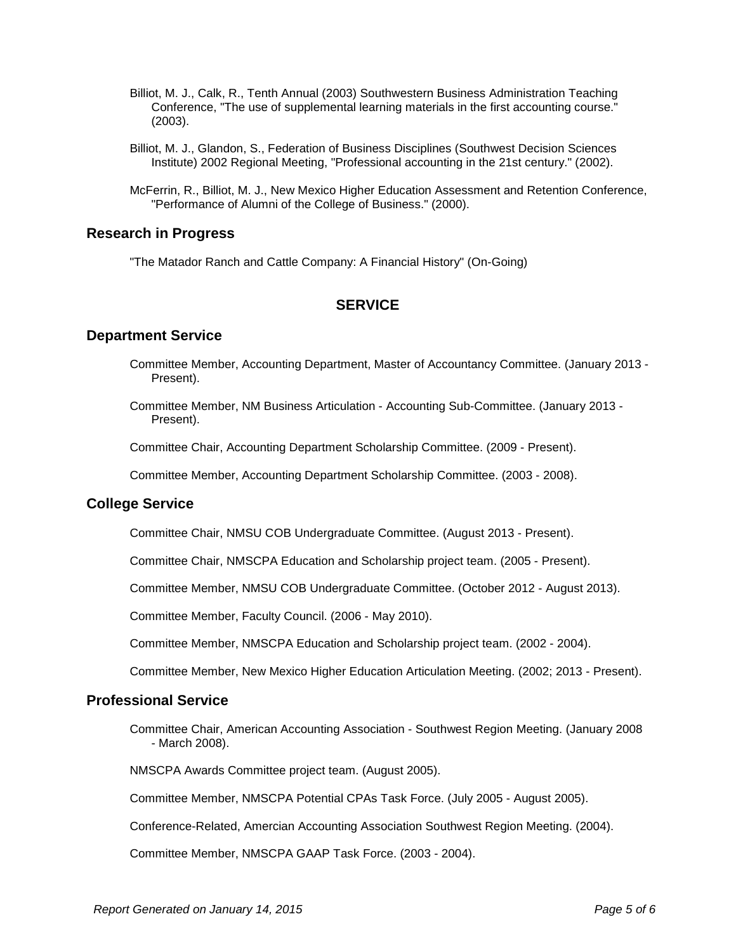- Billiot, M. J., Calk, R., Tenth Annual (2003) Southwestern Business Administration Teaching Conference, "The use of supplemental learning materials in the first accounting course." (2003).
- Billiot, M. J., Glandon, S., Federation of Business Disciplines (Southwest Decision Sciences Institute) 2002 Regional Meeting, "Professional accounting in the 21st century." (2002).
- McFerrin, R., Billiot, M. J., New Mexico Higher Education Assessment and Retention Conference, "Performance of Alumni of the College of Business." (2000).

#### **Research in Progress**

"The Matador Ranch and Cattle Company: A Financial History" (On-Going)

# **SERVICE**

#### **Department Service**

- Committee Member, Accounting Department, Master of Accountancy Committee. (January 2013 Present).
- Committee Member, NM Business Articulation Accounting Sub-Committee. (January 2013 Present).

Committee Chair, Accounting Department Scholarship Committee. (2009 - Present).

Committee Member, Accounting Department Scholarship Committee. (2003 - 2008).

#### **College Service**

Committee Chair, NMSU COB Undergraduate Committee. (August 2013 - Present).

Committee Chair, NMSCPA Education and Scholarship project team. (2005 - Present).

Committee Member, NMSU COB Undergraduate Committee. (October 2012 - August 2013).

Committee Member, Faculty Council. (2006 - May 2010).

Committee Member, NMSCPA Education and Scholarship project team. (2002 - 2004).

Committee Member, New Mexico Higher Education Articulation Meeting. (2002; 2013 - Present).

#### **Professional Service**

Committee Chair, American Accounting Association - Southwest Region Meeting. (January 2008 - March 2008).

NMSCPA Awards Committee project team. (August 2005).

Committee Member, NMSCPA Potential CPAs Task Force. (July 2005 - August 2005).

Conference-Related, Amercian Accounting Association Southwest Region Meeting. (2004).

Committee Member, NMSCPA GAAP Task Force. (2003 - 2004).